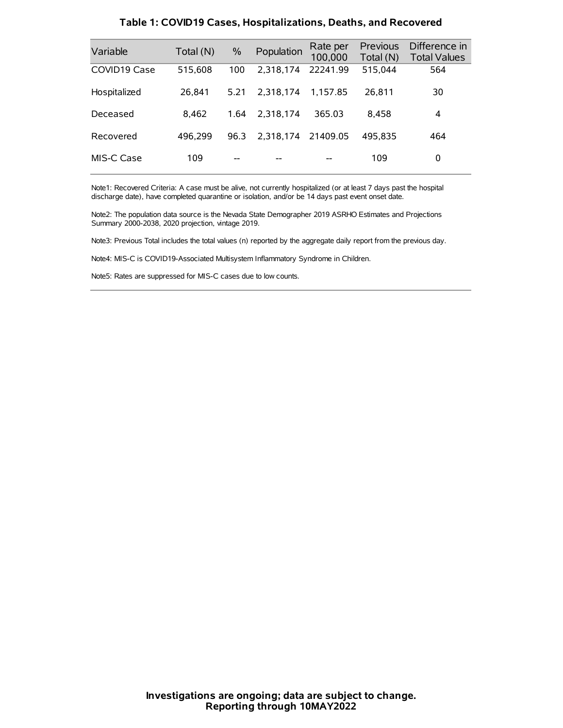| Variable     | Total (N) | $\%$ | Population | Rate per<br>100,000 | Previous<br>Total (N) | Difference in<br><b>Total Values</b> |
|--------------|-----------|------|------------|---------------------|-----------------------|--------------------------------------|
| COVID19 Case | 515,608   | 100  | 2.318.174  | 22241.99            | 515,044               | 564                                  |
| Hospitalized | 26.841    | 5.21 | 2.318.174  | 1.157.85            | 26.811                | 30                                   |
| Deceased     | 8.462     | 1.64 | 2.318.174  | 365.03              | 8.458                 | 4                                    |
| Recovered    | 496.299   | 96.3 | 2.318.174  | 21409.05            | 495.835               | 464                                  |
| MIS-C Case   | 109       | --   |            |                     | 109                   | 0                                    |

#### **Table 1: COVID19 Cases, Hospitalizations, Deaths, and Recovered**

Note1: Recovered Criteria: A case must be alive, not currently hospitalized (or at least 7 days past the hospital discharge date), have completed quarantine or isolation, and/or be 14 days past event onset date.

Note2: The population data source is the Nevada State Demographer 2019 ASRHO Estimates and Projections Summary 2000-2038, 2020 projection, vintage 2019.

Note3: Previous Total includes the total values (n) reported by the aggregate daily report from the previous day.

Note4: MIS-C is COVID19-Associated Multisystem Inflammatory Syndrome in Children.

Note5: Rates are suppressed for MIS-C cases due to low counts.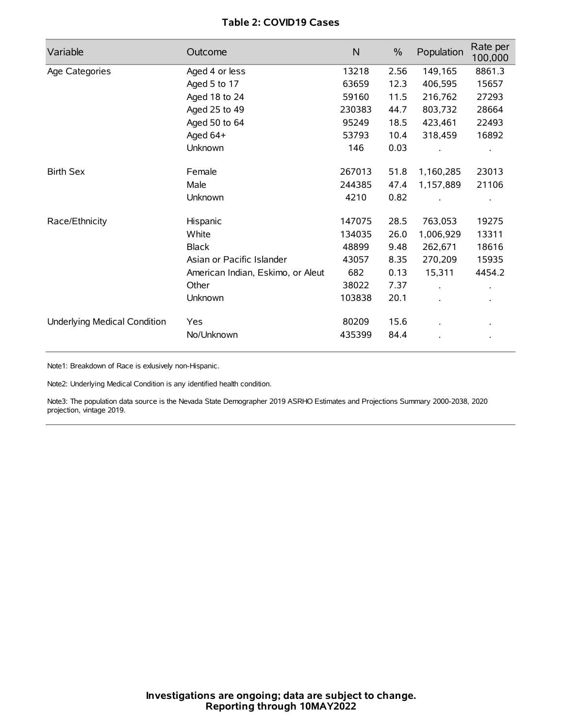## **Table 2: COVID19 Cases**

| Variable                     | Outcome                           | N      | $\frac{0}{0}$ | Population           | Rate per<br>100,000  |
|------------------------------|-----------------------------------|--------|---------------|----------------------|----------------------|
| Age Categories               | Aged 4 or less                    | 13218  | 2.56          | 149,165              | 8861.3               |
|                              | Aged 5 to 17                      | 63659  | 12.3          | 406,595              | 15657                |
|                              | Aged 18 to 24                     | 59160  | 11.5          | 216,762              | 27293                |
|                              | Aged 25 to 49                     | 230383 | 44.7          | 803,732              | 28664                |
|                              | Aged 50 to 64                     | 95249  | 18.5          | 423,461              | 22493                |
|                              | Aged 64+                          | 53793  | 10.4          | 318,459              | 16892                |
|                              | Unknown                           | 146    | 0.03          |                      |                      |
| <b>Birth Sex</b>             | Female                            | 267013 | 51.8          | 1,160,285            | 23013                |
|                              | Male                              | 244385 | 47.4          | 1,157,889            | 21106                |
|                              | Unknown                           | 4210   | 0.82          |                      |                      |
| Race/Ethnicity               | Hispanic                          | 147075 | 28.5          | 763,053              | 19275                |
|                              | White                             | 134035 | 26.0          | 1,006,929            | 13311                |
|                              | <b>Black</b>                      | 48899  | 9.48          | 262,671              | 18616                |
|                              | Asian or Pacific Islander         | 43057  | 8.35          | 270,209              | 15935                |
|                              | American Indian, Eskimo, or Aleut | 682    | 0.13          | 15,311               | 4454.2               |
|                              | Other                             | 38022  | 7.37          | $\ddot{\phantom{a}}$ | $\ddot{\phantom{0}}$ |
|                              | Unknown                           | 103838 | 20.1          | $\cdot$              |                      |
| Underlying Medical Condition | Yes                               | 80209  | 15.6          |                      |                      |
|                              | No/Unknown                        | 435399 | 84.4          |                      |                      |

Note1: Breakdown of Race is exlusively non-Hispanic.

Note2: Underlying Medical Condition is any identified health condition.

Note3: The population data source is the Nevada State Demographer 2019 ASRHO Estimates and Projections Summary 2000-2038, 2020 projection, vintage 2019.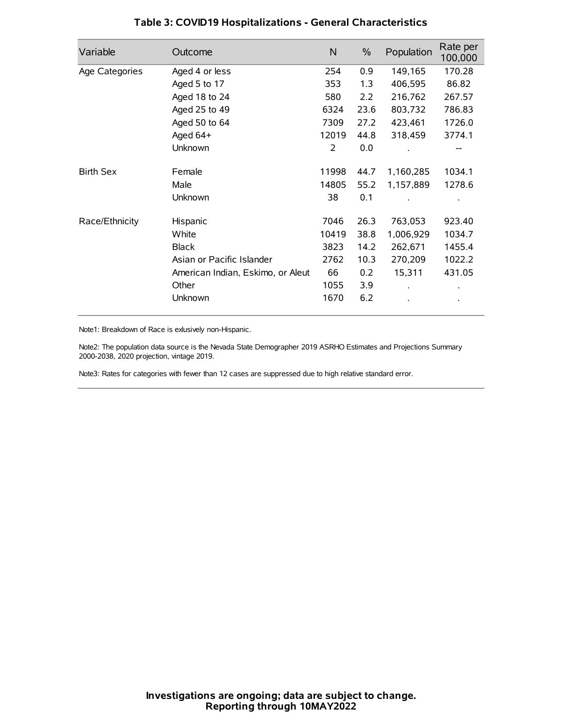| Variable         | Outcome                           | $\mathsf{N}$ | $\%$ | Population | Rate per<br>100,000 |
|------------------|-----------------------------------|--------------|------|------------|---------------------|
| Age Categories   | Aged 4 or less                    | 254          | 0.9  | 149,165    | 170.28              |
|                  | Aged 5 to 17                      | 353          | 1.3  | 406,595    | 86.82               |
|                  | Aged 18 to 24                     | 580          | 2.2  | 216,762    | 267.57              |
|                  | Aged 25 to 49                     | 6324         | 23.6 | 803,732    | 786.83              |
|                  | Aged 50 to 64                     | 7309         | 27.2 | 423,461    | 1726.0              |
|                  | Aged 64+                          | 12019        | 44.8 | 318,459    | 3774.1              |
|                  | Unknown                           | 2            | 0.0  |            |                     |
| <b>Birth Sex</b> | Female                            | 11998        | 44.7 | 1,160,285  | 1034.1              |
|                  | Male                              | 14805        | 55.2 | 1,157,889  | 1278.6              |
|                  | Unknown                           | 38           | 0.1  |            |                     |
| Race/Ethnicity   | Hispanic                          | 7046         | 26.3 | 763,053    | 923.40              |
|                  | White                             | 10419        | 38.8 | 1,006,929  | 1034.7              |
|                  | <b>Black</b>                      | 3823         | 14.2 | 262,671    | 1455.4              |
|                  | Asian or Pacific Islander         | 2762         | 10.3 | 270,209    | 1022.2              |
|                  | American Indian, Eskimo, or Aleut | 66           | 0.2  | 15,311     | 431.05              |
|                  | Other                             | 1055         | 3.9  |            |                     |
|                  | Unknown                           | 1670         | 6.2  |            |                     |

## **Table 3: COVID19 Hospitalizations - General Characteristics**

Note1: Breakdown of Race is exlusively non-Hispanic.

Note2: The population data source is the Nevada State Demographer 2019 ASRHO Estimates and Projections Summary 2000-2038, 2020 projection, vintage 2019.

Note3: Rates for categories with fewer than 12 cases are suppressed due to high relative standard error.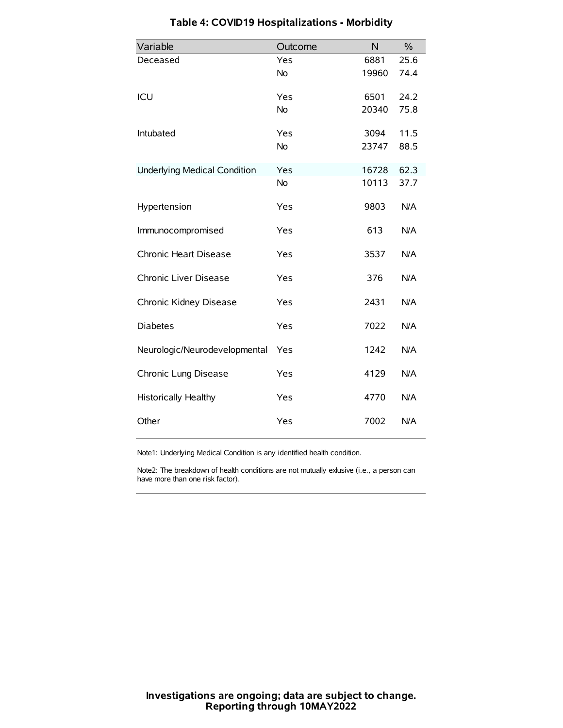| Variable                            | Outcome   | N     | $\frac{0}{0}$ |
|-------------------------------------|-----------|-------|---------------|
| Deceased                            | Yes       | 6881  | 25.6          |
|                                     | <b>No</b> | 19960 | 74.4          |
| ICU                                 | Yes       | 6501  | 24.2          |
|                                     | No        | 20340 | 75.8          |
| Intubated                           | Yes       | 3094  | 11.5          |
|                                     | <b>No</b> | 23747 | 88.5          |
| <b>Underlying Medical Condition</b> | Yes       | 16728 | 62.3          |
|                                     | No        | 10113 | 37.7          |
| Hypertension                        | Yes       | 9803  | N/A           |
| Immunocompromised                   | Yes       | 613   | N/A           |
| Chronic Heart Disease               | Yes       | 3537  | N/A           |
| Chronic Liver Disease               | Yes       | 376   | N/A           |
| Chronic Kidney Disease              | Yes       | 2431  | N/A           |
| <b>Diabetes</b>                     | Yes       | 7022  | N/A           |
| Neurologic/Neurodevelopmental       | Yes       | 1242  | N/A           |
| Chronic Lung Disease                | Yes       | 4129  | N/A           |
| <b>Historically Healthy</b>         | Yes       | 4770  | N/A           |
| Other                               | Yes       | 7002  | N/A           |

# **Table 4: COVID19 Hospitalizations - Morbidity**

Note1: Underlying Medical Condition is any identified health condition.

Note2: The breakdown of health conditions are not mutually exlusive (i.e., a person can have more than one risk factor).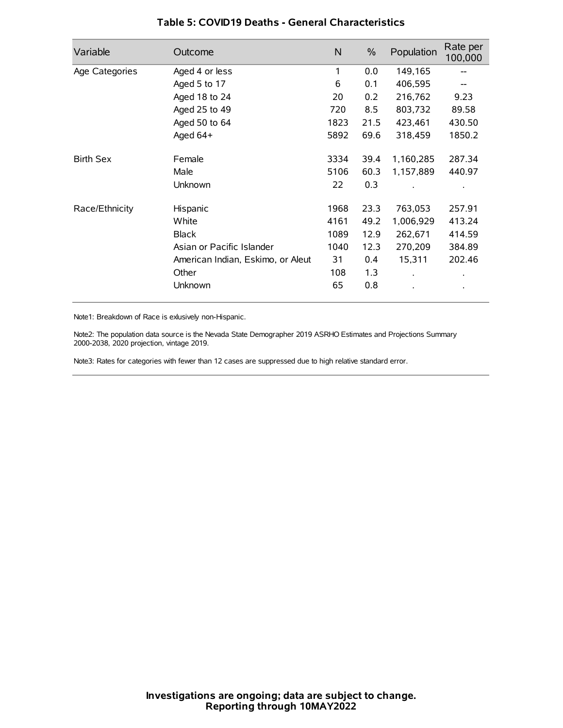| Variable         | Outcome                           | N    | $\%$ | Population           | Rate per<br>100,000 |
|------------------|-----------------------------------|------|------|----------------------|---------------------|
| Age Categories   | Aged 4 or less                    | 1    | 0.0  | 149,165              |                     |
|                  | Aged 5 to 17                      | 6    | 0.1  | 406,595              |                     |
|                  | Aged 18 to 24                     | 20   | 0.2  | 216,762              | 9.23                |
|                  | Aged 25 to 49                     | 720  | 8.5  | 803,732              | 89.58               |
|                  | Aged 50 to 64                     | 1823 | 21.5 | 423,461              | 430.50              |
|                  | Aged 64+                          | 5892 | 69.6 | 318,459              | 1850.2              |
| <b>Birth Sex</b> | Female                            | 3334 | 39.4 | 1,160,285            | 287.34              |
|                  | Male                              | 5106 | 60.3 | 1,157,889            | 440.97              |
|                  | Unknown                           | 22   | 0.3  |                      |                     |
| Race/Ethnicity   | Hispanic                          | 1968 | 23.3 | 763,053              | 257.91              |
|                  | White                             | 4161 | 49.2 | 1,006,929            | 413.24              |
|                  | <b>Black</b>                      | 1089 | 12.9 | 262,671              | 414.59              |
|                  | Asian or Pacific Islander         | 1040 | 12.3 | 270,209              | 384.89              |
|                  | American Indian, Eskimo, or Aleut | 31   | 0.4  | 15,311               | 202.46              |
|                  | Other                             | 108  | 1.3  | $\ddot{\phantom{0}}$ | $\bullet$           |
|                  | Unknown                           | 65   | 0.8  |                      | $\bullet$           |

### **Table 5: COVID19 Deaths - General Characteristics**

Note1: Breakdown of Race is exlusively non-Hispanic.

Note2: The population data source is the Nevada State Demographer 2019 ASRHO Estimates and Projections Summary 2000-2038, 2020 projection, vintage 2019.

Note3: Rates for categories with fewer than 12 cases are suppressed due to high relative standard error.